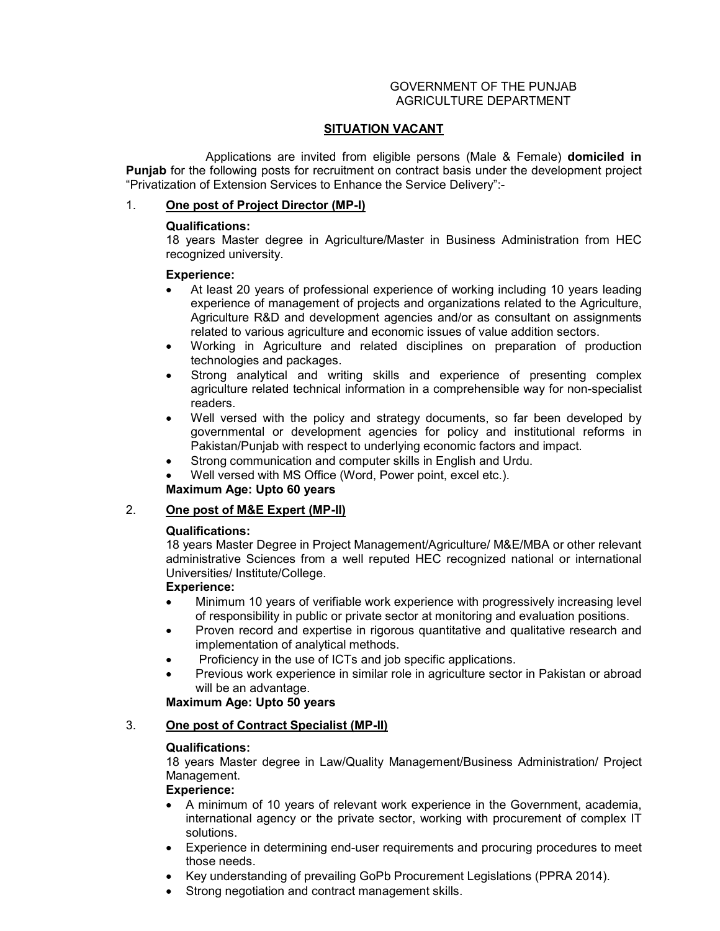#### GOVERNMENT OF THE PUNJAB AGRICULTURE DEPARTMENT

### **SITUATION VACANT**

 Applications are invited from eligible persons (Male & Female) **domiciled in Punjab** for the following posts for recruitment on contract basis under the development project "Privatization of Extension Services to Enhance the Service Delivery":-

### 1. **One post of Project Director (MP-I)**

## **Qualifications:**

18 years Master degree in Agriculture/Master in Business Administration from HEC recognized university.

## **Experience:**

- At least 20 years of professional experience of working including 10 years leading experience of management of projects and organizations related to the Agriculture, Agriculture R&D and development agencies and/or as consultant on assignments related to various agriculture and economic issues of value addition sectors.
- Working in Agriculture and related disciplines on preparation of production technologies and packages.
- Strong analytical and writing skills and experience of presenting complex agriculture related technical information in a comprehensible way for non-specialist readers.
- Well versed with the policy and strategy documents, so far been developed by governmental or development agencies for policy and institutional reforms in Pakistan/Punjab with respect to underlying economic factors and impact.
- Strong communication and computer skills in English and Urdu.
- Well versed with MS Office (Word, Power point, excel etc.).

# **Maximum Age: Upto 60 years**

# 2. **One post of M&E Expert (MP-II)**

### **Qualifications:**

18 years Master Degree in Project Management/Agriculture/ M&E/MBA or other relevant administrative Sciences from a well reputed HEC recognized national or international Universities/ Institute/College.

### **Experience:**

- Minimum 10 years of verifiable work experience with progressively increasing level of responsibility in public or private sector at monitoring and evaluation positions.
- Proven record and expertise in rigorous quantitative and qualitative research and implementation of analytical methods.
- Proficiency in the use of ICTs and job specific applications.
- Previous work experience in similar role in agriculture sector in Pakistan or abroad will be an advantage.

# **Maximum Age: Upto 50 years**

## 3. **One post of Contract Specialist (MP-II)**

# **Qualifications:**

18 years Master degree in Law/Quality Management/Business Administration/ Project Management.

### **Experience:**

- A minimum of 10 years of relevant work experience in the Government, academia, international agency or the private sector, working with procurement of complex IT solutions.
- Experience in determining end-user requirements and procuring procedures to meet those needs.
- Key understanding of prevailing GoPb Procurement Legislations (PPRA 2014).
- Strong negotiation and contract management skills.